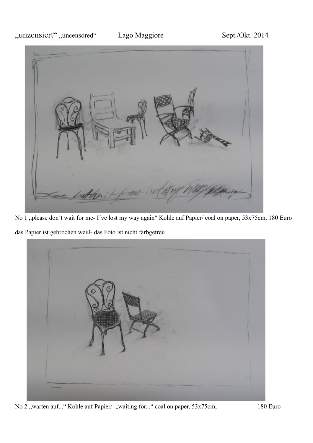

No 1 "please don't wait for me- I've lost my way again" Kohle auf Papier/ coal on paper, 53x75cm, 180 Euro

das Papier ist gebrochen weiß- das Foto ist nicht farbgetreu



No 2 "warten auf..." Kohle auf Papier/ "waiting for..." coal on paper, 53x75cm, 180 Euro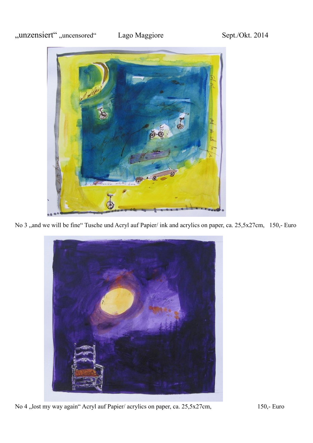

No 3 ,,and we will be fine" Tusche und Acryl auf Papier/ ink and acrylics on paper, ca. 25,5x27cm, 150,- Euro



No 4 "lost my way again" Acryl auf Papier/ acrylics on paper, ca. 25,5x27cm, 150,- Euro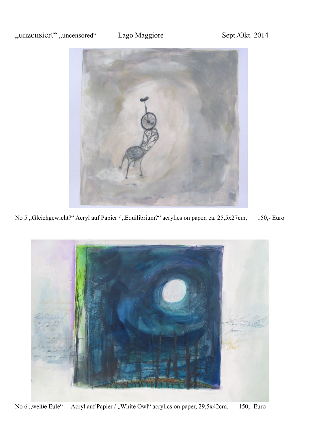

No 5 "Gleichgewicht?" Acryl auf Papier / "Equilibrium?" acrylics on paper, ca. 25,5x27cm, 150,- Euro



No 6 "weiße Eule" Acryl auf Papier / "White Owl" acrylics on paper, 29,5x42cm, 150,- Euro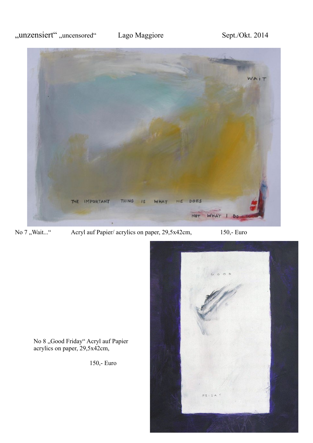

No 7 "Wait..." Acryl auf Papier/ acrylics on paper, 29,5x42cm, 150,- Euro



No 8 "Good Friday" Acryl auf Papier acrylics on paper, 29,5x42cm,

150,- Euro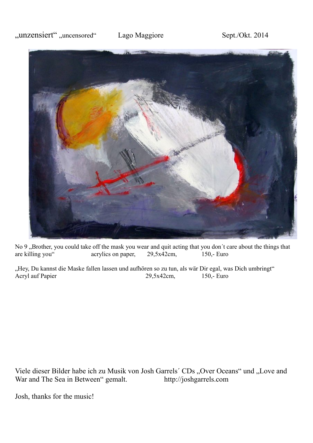

No 9 "Brother, you could take off the mask you wear and quit acting that you don't care about the things that are killing you" acrylics on paper, 29,5x42cm, 150,- Euro acrylics on paper,  $29,5x42$ cm, 150,- Euro

"Hey, Du kannst die Maske fallen lassen und aufhören so zu tun, als wär Dir egal, was Dich umbringt" Acryl auf Papier 29,5x42cm, 150,- Euro

Viele dieser Bilder habe ich zu Musik von Josh Garrels' CDs "Over Oceans" und "Love and War and The Sea in Between" gemalt. http://joshgarrels.com War and The Sea in Between" gemalt.

Josh, thanks for the music!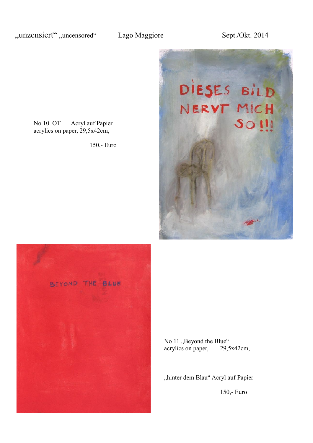

No 10 OT Acryl auf Papier acrylics on paper, 29,5x42cm,

150,- Euro



No 11, Beyond the Blue" acrylics on paper, 29,5x42cm,

"hinter dem Blau" Acryl auf Papier

150,- Euro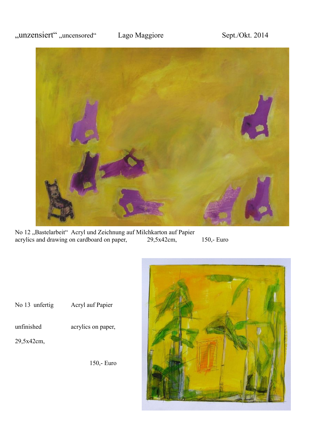

No 12 "Bastelarbeit" Acryl und Zeichnung auf Milchkarton auf Papier acrylics and drawing on cardboard on paper, 29,5x42cm, acrylics and drawing on cardboard on paper, 29,5x42cm, 150,- Euro





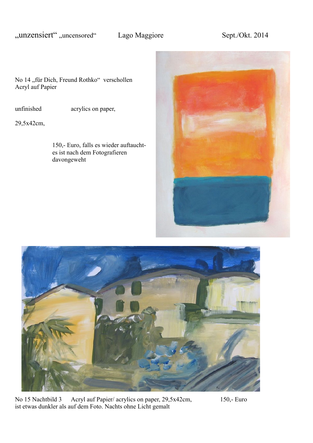No 14 "für Dich, Freund Rothko" verschollen Acryl auf Papier

unfinished acrylics on paper,

29,5x42cm,

150,- Euro, falls es wieder auftauchtes ist nach dem Fotografieren davongeweht





No 15 Nachtbild 3 Acryl auf Papier/ acrylics on paper, 29,5x42cm, 150,- Euro ist etwas dunkler als auf dem Foto. Nachts ohne Licht gemalt